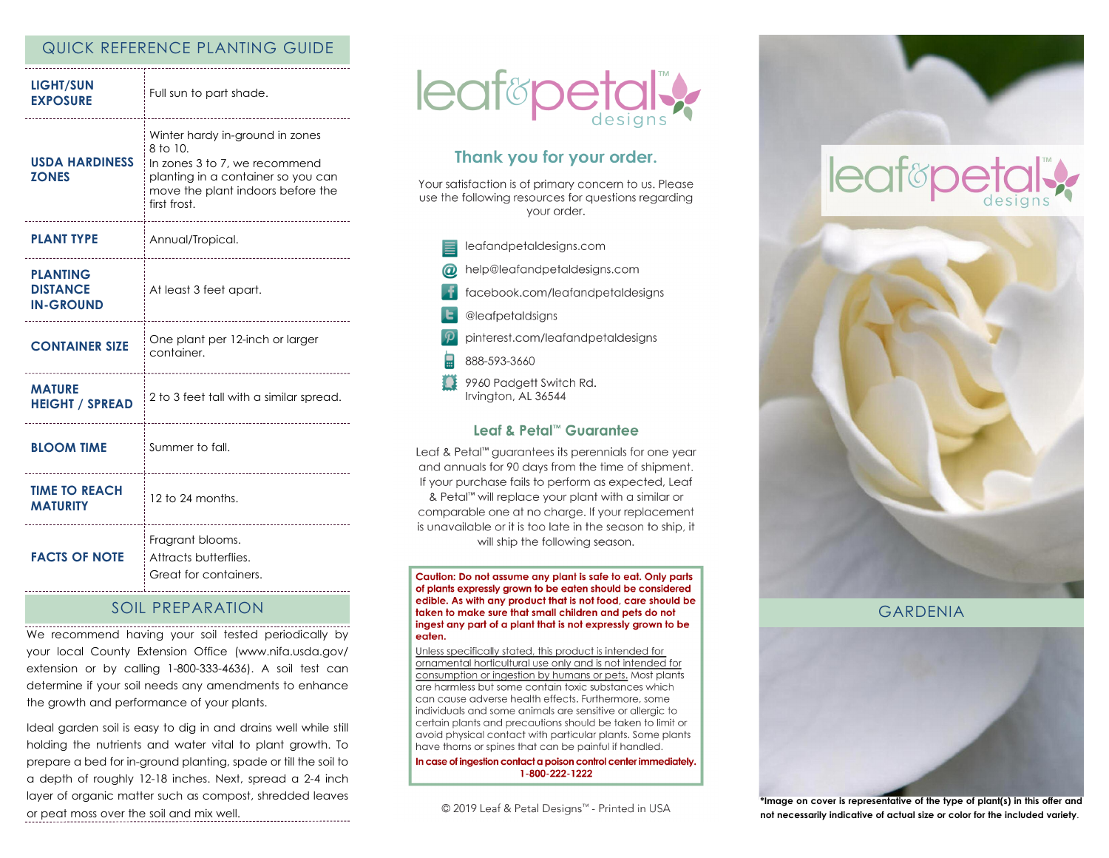#### QUICK REFERENCE PLANTING GUIDE

| <b>LIGHT/SUN</b><br><b>EXPOSURE</b>                    | Full sun to part shade.                                                                                                                                                 |
|--------------------------------------------------------|-------------------------------------------------------------------------------------------------------------------------------------------------------------------------|
| <b>USDA HARDINESS</b><br><b>ZONES</b>                  | Winter hardy in-ground in zones<br>8 to 10.<br>In zones 3 to 7, we recommend<br>planting in a container so you can<br>move the plant indoors before the<br>first frost. |
| <b>PLANT TYPE</b>                                      | Annual/Tropical.                                                                                                                                                        |
| <b>PLANTING</b><br><b>DISTANCE</b><br><b>IN-GROUND</b> | At least 3 feet apart.                                                                                                                                                  |
| <b>CONTAINER SIZE</b>                                  | One plant per 12-inch or larger<br>container.                                                                                                                           |
| <b>MATURE</b><br><b>HEIGHT / SPREAD</b>                | 2 to 3 feet tall with a similar spread.                                                                                                                                 |
| <b>BLOOM TIME</b>                                      | Summer to fall.<br>______________________                                                                                                                               |
| <b>TIME TO REACH</b><br><b>MATURITY</b>                | $12$ to 24 months.                                                                                                                                                      |
| <b>FACTS OF NOTE</b><br>-----------------------        | Fragrant blooms.<br>Attracts butterflies.<br>Great for containers.                                                                                                      |

### SOIL PREPARATION

We recommend having your soil tested periodically by your local County Extension Office (www.nifa.usda.gov/ extension or by calling 1-800-333-4636). A soil test can determine if your soil needs any amendments to enhance the growth and performance of your plants.

Ideal garden soil is easy to dig in and drains well while still holding the nutrients and water vital to plant growth. To prepare a bed for in-ground planting, spade or till the soil to a depth of roughly 12-18 inches. Next, spread a 2-4 inch layer of organic matter such as compost, shredded leaves or peat moss over the soil and mix well.



## Thank you for your order.

Your satisfaction is of primary concern to us. Please use the following resources for questions regarding vour order.

- leafandpetaldesigns.com help@leafandpetaldesigns.com facebook.com/leafandpetaldesigns @leafpetaldsigns pinterest.com/leafandpetaldesigns 888-593-3660
- 9960 Padgett Switch Rd. Irvington, AL 36544

#### Leaf & Petal™ Guarantee

Leaf & Petal<sup>™</sup> guarantees its perennials for one year and annuals for 90 days from the time of shipment. If your purchase fails to perform as expected, Leaf & Petal<sup>™</sup> will replace your plant with a similar or comparable one at no charge. If your replacement is unavailable or it is too late in the season to ship, it will ship the following season.

Caution: Do not assume any plant is safe to eat. Only parts of plants expressly grown to be eaten should be considered edible. As with any product that is not food, care should be taken to make sure that small children and pets do not ingest any part of a plant that is not expressly grown to be eaten.

Unless specifically stated, this product is intended for ornamental horticultural use only and is not intended for consumption or ingestion by humans or pets. Most plants are harmless but some contain toxic substances which can cause adverse health effects. Furthermore, some individuals and some animals are sensitive or allergic to certain plants and precautions should be taken to limit or avoid physical contact with particular plants. Some plants have thorns or spines that can be painful if handled.

In case of ingestion contact a poison control center immediately. 1-800-222-1222

© 2019 Leaf & Petal Designs™ - Printed in USA



# **leaf&pet**



#### GARDENIA



**\*Image on cover is representative of the type of plant(s) in this offer and not necessarily indicative of actual size or color for the included variety**.